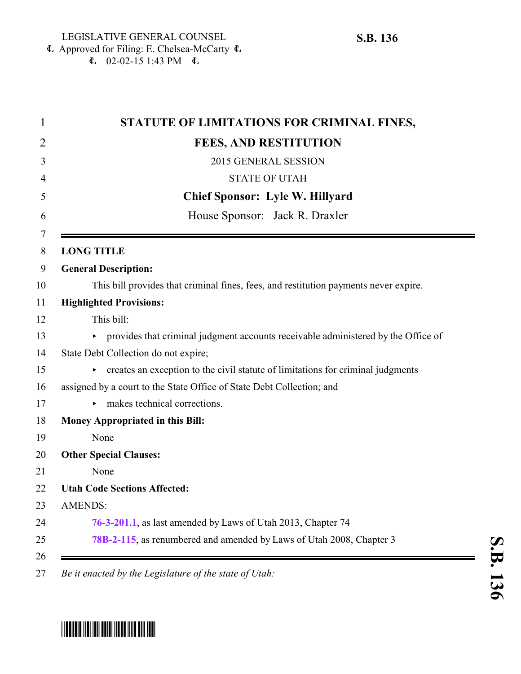### Approved for Filing: E. Chelsea-McCarty 6  $\text{L}$  02-02-15 1:43 PM  $\text{L}$

| STATUTE OF LIMITATIONS FOR CRIMINAL FINES,                                           |
|--------------------------------------------------------------------------------------|
| <b>FEES, AND RESTITUTION</b>                                                         |
| 2015 GENERAL SESSION                                                                 |
| <b>STATE OF UTAH</b>                                                                 |
| <b>Chief Sponsor: Lyle W. Hillyard</b>                                               |
| House Sponsor: Jack R. Draxler                                                       |
| <b>LONG TITLE</b>                                                                    |
| <b>General Description:</b>                                                          |
| This bill provides that criminal fines, fees, and restitution payments never expire. |
| <b>Highlighted Provisions:</b>                                                       |
| This bill:                                                                           |
| provides that criminal judgment accounts receivable administered by the Office of    |
| State Debt Collection do not expire;                                                 |
| creates an exception to the civil statute of limitations for criminal judgments      |
| assigned by a court to the State Office of State Debt Collection; and                |
| makes technical corrections.<br>▶                                                    |
| <b>Money Appropriated in this Bill:</b>                                              |
| None                                                                                 |
| <b>Other Special Clauses:</b>                                                        |
| None                                                                                 |
| <b>Utah Code Sections Affected:</b>                                                  |
| <b>AMENDS:</b>                                                                       |
| 76-3-201.1, as last amended by Laws of Utah 2013, Chapter 74                         |
| 78B-2-115, as renumbered and amended by Laws of Utah 2008, Chapter 3                 |

# \*SB0136\*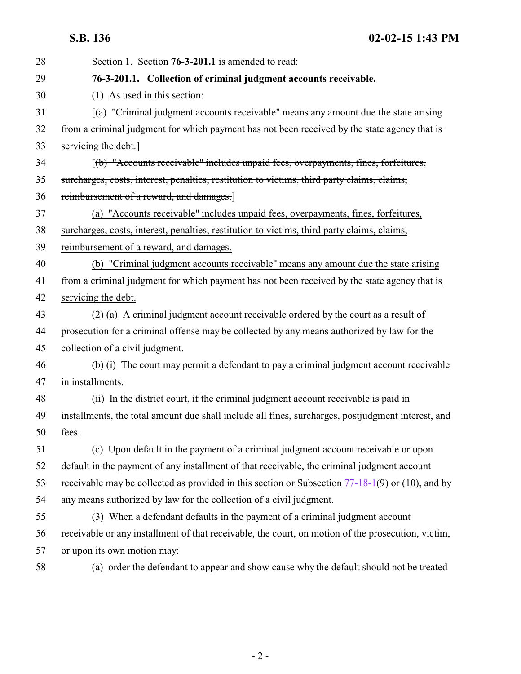<span id="page-1-0"></span>**S.B. 136 02-02-15 1:43 PM**

| 28 | Section 1. Section 76-3-201.1 is amended to read:                                                     |
|----|-------------------------------------------------------------------------------------------------------|
| 29 | 76-3-201.1. Collection of criminal judgment accounts receivable.                                      |
| 30 | (1) As used in this section:                                                                          |
| 31 | $\left[$ (a) "Criminal judgment accounts receivable" means any amount due the state arising           |
| 32 | from a criminal judgment for which payment has not been received by the state agency that is          |
| 33 | servicing the debt.                                                                                   |
| 34 | [(b) "Accounts receivable" includes unpaid fees, overpayments, fines, forfeitures,                    |
| 35 | surcharges, costs, interest, penalties, restitution to victims, third party claims, claims,           |
| 36 | reimbursement of a reward, and damages.]                                                              |
| 37 | (a) "Accounts receivable" includes unpaid fees, overpayments, fines, forfeitures,                     |
| 38 | surcharges, costs, interest, penalties, restitution to victims, third party claims, claims,           |
| 39 | reimbursement of a reward, and damages.                                                               |
| 40 | (b) "Criminal judgment accounts receivable" means any amount due the state arising                    |
| 41 | from a criminal judgment for which payment has not been received by the state agency that is          |
| 42 | servicing the debt.                                                                                   |
| 43 | (2) (a) A criminal judgment account receivable ordered by the court as a result of                    |
| 44 | prosecution for a criminal offense may be collected by any means authorized by law for the            |
| 45 | collection of a civil judgment.                                                                       |
| 46 | (b) (i) The court may permit a defendant to pay a criminal judgment account receivable                |
| 47 | in installments.                                                                                      |
| 48 | (ii) In the district court, if the criminal judgment account receivable is paid in                    |
| 49 | installments, the total amount due shall include all fines, surcharges, postjudgment interest, and    |
| 50 | fees.                                                                                                 |
| 51 | (c) Upon default in the payment of a criminal judgment account receivable or upon                     |
| 52 | default in the payment of any installment of that receivable, the criminal judgment account           |
| 53 | receivable may be collected as provided in this section or Subsection $77-18-1(9)$ or $(10)$ , and by |
| 54 | any means authorized by law for the collection of a civil judgment.                                   |
| 55 | (3) When a defendant defaults in the payment of a criminal judgment account                           |
| 56 | receivable or any installment of that receivable, the court, on motion of the prosecution, victim,    |
| 57 | or upon its own motion may:                                                                           |
| 58 | (a) order the defendant to appear and show cause why the default should not be treated                |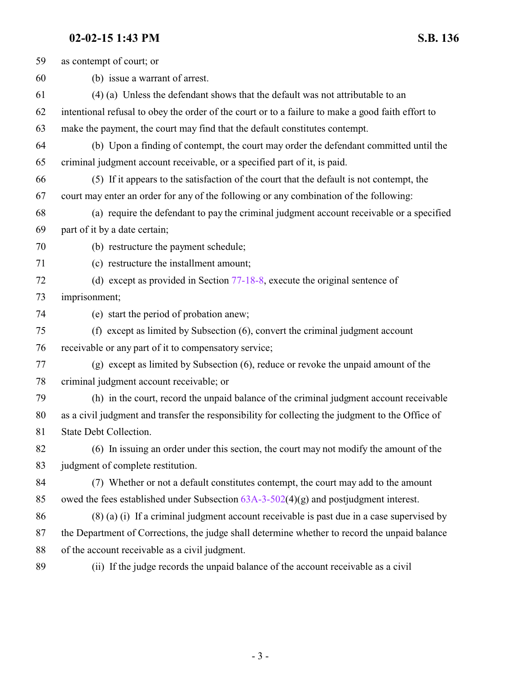## **02-02-15 1:43 PM S.B. 136**

| 59 | as contempt of court; or                                                                          |
|----|---------------------------------------------------------------------------------------------------|
| 60 | (b) issue a warrant of arrest.                                                                    |
| 61 | (4) (a) Unless the defendant shows that the default was not attributable to an                    |
| 62 | intentional refusal to obey the order of the court or to a failure to make a good faith effort to |
| 63 | make the payment, the court may find that the default constitutes contempt.                       |
| 64 | (b) Upon a finding of contempt, the court may order the defendant committed until the             |
| 65 | criminal judgment account receivable, or a specified part of it, is paid.                         |
| 66 | (5) If it appears to the satisfaction of the court that the default is not contempt, the          |
| 67 | court may enter an order for any of the following or any combination of the following:            |
| 68 | (a) require the defendant to pay the criminal judgment account receivable or a specified          |
| 69 | part of it by a date certain;                                                                     |
| 70 | (b) restructure the payment schedule;                                                             |
| 71 | (c) restructure the installment amount;                                                           |
| 72 | (d) except as provided in Section 77-18-8, execute the original sentence of                       |
| 73 | imprisonment;                                                                                     |
| 74 | (e) start the period of probation anew;                                                           |
| 75 | (f) except as limited by Subsection (6), convert the criminal judgment account                    |
| 76 | receivable or any part of it to compensatory service;                                             |
| 77 | (g) except as limited by Subsection (6), reduce or revoke the unpaid amount of the                |
| 78 | criminal judgment account receivable; or                                                          |
| 79 | (h) in the court, record the unpaid balance of the criminal judgment account receivable           |
| 80 | as a civil judgment and transfer the responsibility for collecting the judgment to the Office of  |
| 81 | State Debt Collection.                                                                            |
| 82 | (6) In issuing an order under this section, the court may not modify the amount of the            |
| 83 | judgment of complete restitution.                                                                 |
| 84 | (7) Whether or not a default constitutes contempt, the court may add to the amount                |
| 85 | owed the fees established under Subsection $63A-3-502(4)(g)$ and postjudgment interest.           |
| 86 | $(8)$ (a) (i) If a criminal judgment account receivable is past due in a case supervised by       |
| 87 | the Department of Corrections, the judge shall determine whether to record the unpaid balance     |
| 88 | of the account receivable as a civil judgment.                                                    |
| 89 | (ii) If the judge records the unpaid balance of the account receivable as a civil                 |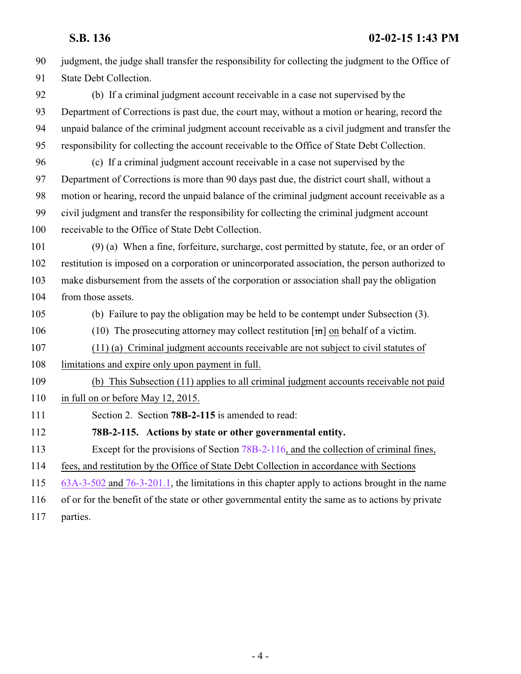<span id="page-3-0"></span> judgment, the judge shall transfer the responsibility for collecting the judgment to the Office of State Debt Collection. (b) If a criminal judgment account receivable in a case not supervised by the Department of Corrections is past due, the court may, without a motion or hearing, record the unpaid balance of the criminal judgment account receivable as a civil judgment and transfer the responsibility for collecting the account receivable to the Office of State Debt Collection. (c) If a criminal judgment account receivable in a case not supervised by the Department of Corrections is more than 90 days past due, the district court shall, without a motion or hearing, record the unpaid balance of the criminal judgment account receivable as a civil judgment and transfer the responsibility for collecting the criminal judgment account receivable to the Office of State Debt Collection. (9) (a) When a fine, forfeiture, surcharge, cost permitted by statute, fee, or an order of restitution is imposed on a corporation or unincorporated association, the person authorized to make disbursement from the assets of the corporation or association shall pay the obligation 104 from those assets. (b) Failure to pay the obligation may be held to be contempt under Subsection (3). (10) The prosecuting attorney may collect restitution [in] on behalf of a victim. (11) (a) Criminal judgment accounts receivable are not subject to civil statutes of limitations and expire only upon payment in full. (b) This Subsection (11) applies to all criminal judgment accounts receivable not paid 110 in full on or before May 12, 2015. Section 2. Section **78B-2-115** is amended to read: **78B-2-115. Actions by state or other governmental entity.** Except for the provisions of Section [78B-2-116](http://le.utah.gov/UtahCode/SectionLookup.jsp?section=78b-2-116&session=2015GS), and the collection of criminal fines, fees, and restitution by the Office of State Debt Collection in accordance with Sections [63A-3-502](http://le.utah.gov/UtahCode/SectionLookup.jsp?section=63a-3-502&session=2015GS) and [76-3-201.1](#page-1-0), the limitations in this chapter apply to actions brought in the name of or for the benefit of the state or other governmental entity the same as to actions by private parties.